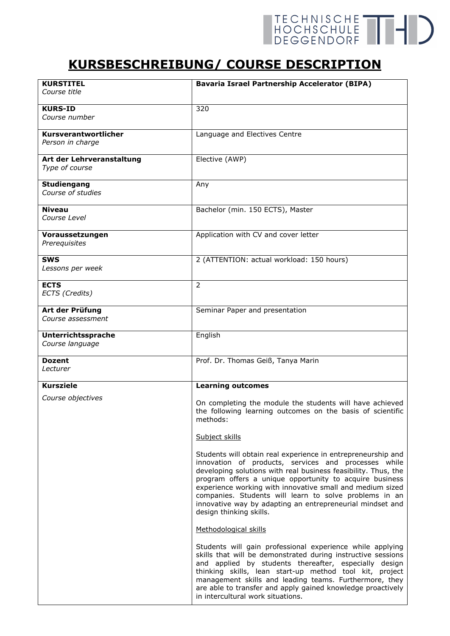## TECHNISCHE THE

## **KURSBESCHREIBUNG/ COURSE DESCRIPTION**

| <b>KURSTITEL</b>          | <b>Bavaria Israel Partnership Accelerator (BIPA)</b>                                                                                                                                                                                                                                                                                                                                                                                                             |
|---------------------------|------------------------------------------------------------------------------------------------------------------------------------------------------------------------------------------------------------------------------------------------------------------------------------------------------------------------------------------------------------------------------------------------------------------------------------------------------------------|
| Course title              |                                                                                                                                                                                                                                                                                                                                                                                                                                                                  |
| <b>KURS-ID</b>            | 320                                                                                                                                                                                                                                                                                                                                                                                                                                                              |
| Course number             |                                                                                                                                                                                                                                                                                                                                                                                                                                                                  |
| Kursverantwortlicher      | Language and Electives Centre                                                                                                                                                                                                                                                                                                                                                                                                                                    |
| Person in charge          |                                                                                                                                                                                                                                                                                                                                                                                                                                                                  |
| Art der Lehrveranstaltung | Elective (AWP)                                                                                                                                                                                                                                                                                                                                                                                                                                                   |
| Type of course            |                                                                                                                                                                                                                                                                                                                                                                                                                                                                  |
| <b>Studiengang</b>        | Any                                                                                                                                                                                                                                                                                                                                                                                                                                                              |
| Course of studies         |                                                                                                                                                                                                                                                                                                                                                                                                                                                                  |
| Niveau                    | Bachelor (min. 150 ECTS), Master                                                                                                                                                                                                                                                                                                                                                                                                                                 |
| Course Level              |                                                                                                                                                                                                                                                                                                                                                                                                                                                                  |
| Voraussetzungen           | Application with CV and cover letter                                                                                                                                                                                                                                                                                                                                                                                                                             |
| Prerequisites             |                                                                                                                                                                                                                                                                                                                                                                                                                                                                  |
| <b>SWS</b>                | 2 (ATTENTION: actual workload: 150 hours)                                                                                                                                                                                                                                                                                                                                                                                                                        |
| Lessons per week          |                                                                                                                                                                                                                                                                                                                                                                                                                                                                  |
| <b>ECTS</b>               | $\overline{2}$                                                                                                                                                                                                                                                                                                                                                                                                                                                   |
| ECTS (Credits)            |                                                                                                                                                                                                                                                                                                                                                                                                                                                                  |
| Art der Prüfung           | Seminar Paper and presentation                                                                                                                                                                                                                                                                                                                                                                                                                                   |
| <i>Course assessment</i>  |                                                                                                                                                                                                                                                                                                                                                                                                                                                                  |
| <b>Unterrichtssprache</b> | English                                                                                                                                                                                                                                                                                                                                                                                                                                                          |
| Course language           |                                                                                                                                                                                                                                                                                                                                                                                                                                                                  |
| <b>Dozent</b>             | Prof. Dr. Thomas Geiß, Tanya Marin                                                                                                                                                                                                                                                                                                                                                                                                                               |
| Lecturer                  |                                                                                                                                                                                                                                                                                                                                                                                                                                                                  |
| <b>Kursziele</b>          | <b>Learning outcomes</b>                                                                                                                                                                                                                                                                                                                                                                                                                                         |
| Course objectives         | On completing the module the students will have achieved<br>the following learning outcomes on the basis of scientific<br>methods:                                                                                                                                                                                                                                                                                                                               |
|                           | Subject skills                                                                                                                                                                                                                                                                                                                                                                                                                                                   |
|                           | Students will obtain real experience in entrepreneurship and<br>innovation of products, services and processes while<br>developing solutions with real business feasibility. Thus, the<br>program offers a unique opportunity to acquire business<br>experience working with innovative small and medium sized<br>companies. Students will learn to solve problems in an<br>innovative way by adapting an entrepreneurial mindset and<br>design thinking skills. |
|                           | Methodological skills                                                                                                                                                                                                                                                                                                                                                                                                                                            |
|                           | Students will gain professional experience while applying<br>skills that will be demonstrated during instructive sessions<br>and applied by students thereafter, especially design<br>thinking skills, lean start-up method tool kit, project<br>management skills and leading teams. Furthermore, they<br>are able to transfer and apply gained knowledge proactively<br>in intercultural work situations.                                                      |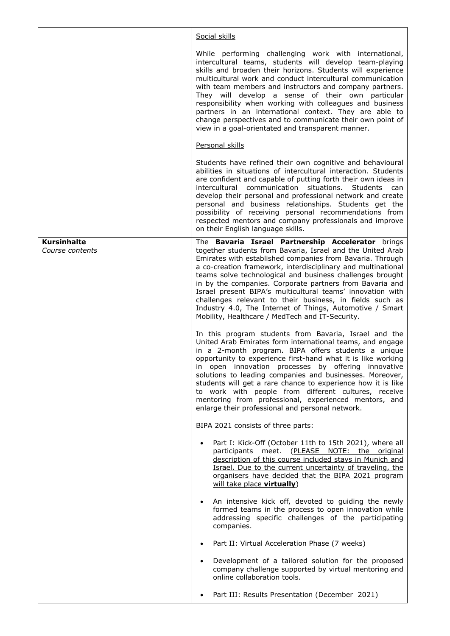|                                       | Social skills                                                                                                                                                                                                                                                                                                                                                                                                                                                                                                                                                                                                  |
|---------------------------------------|----------------------------------------------------------------------------------------------------------------------------------------------------------------------------------------------------------------------------------------------------------------------------------------------------------------------------------------------------------------------------------------------------------------------------------------------------------------------------------------------------------------------------------------------------------------------------------------------------------------|
|                                       | While performing challenging work with international,<br>intercultural teams, students will develop team-playing<br>skills and broaden their horizons. Students will experience<br>multicultural work and conduct intercultural communication<br>with team members and instructors and company partners.<br>They will develop a sense of their own particular<br>responsibility when working with colleagues and business<br>partners in an international context. They are able to<br>change perspectives and to communicate their own point of<br>view in a goal-orientated and transparent manner.          |
|                                       | Personal skills                                                                                                                                                                                                                                                                                                                                                                                                                                                                                                                                                                                                |
|                                       | Students have refined their own cognitive and behavioural<br>abilities in situations of intercultural interaction. Students<br>are confident and capable of putting forth their own ideas in<br>intercultural communication situations. Students<br>can<br>develop their personal and professional network and create<br>personal and business relationships. Students get the<br>possibility of receiving personal recommendations from<br>respected mentors and company professionals and improve<br>on their English language skills.                                                                       |
| <b>Kursinhalte</b><br>Course contents | The Bavaria Israel Partnership Accelerator brings<br>together students from Bavaria, Israel and the United Arab<br>Emirates with established companies from Bavaria. Through<br>a co-creation framework, interdisciplinary and multinational<br>teams solve technological and business challenges brought<br>in by the companies. Corporate partners from Bavaria and<br>Israel present BIPA's multicultural teams' innovation with<br>challenges relevant to their business, in fields such as<br>Industry 4.0, The Internet of Things, Automotive / Smart<br>Mobility, Healthcare / MedTech and IT-Security. |
|                                       | In this program students from Bavaria, Israel and the<br>United Arab Emirates form international teams, and engage<br>in a 2-month program. BIPA offers students a unique<br>opportunity to experience first-hand what it is like working<br>in open innovation processes by offering innovative<br>solutions to leading companies and businesses. Moreover,<br>students will get a rare chance to experience how it is like<br>to work with people from different cultures, receive<br>mentoring from professional, experienced mentors, and<br>enlarge their professional and personal network.              |
|                                       | BIPA 2021 consists of three parts:                                                                                                                                                                                                                                                                                                                                                                                                                                                                                                                                                                             |
|                                       | Part I: Kick-Off (October 11th to 15th 2021), where all<br>participants meet. (PLEASE NOTE: the original<br>description of this course included stays in Munich and<br>Israel. Due to the current uncertainty of traveling, the<br>organisers have decided that the BIPA 2021 program<br>will take place virtually)                                                                                                                                                                                                                                                                                            |
|                                       | An intensive kick off, devoted to guiding the newly<br>formed teams in the process to open innovation while<br>addressing specific challenges of the participating<br>companies.                                                                                                                                                                                                                                                                                                                                                                                                                               |
|                                       | Part II: Virtual Acceleration Phase (7 weeks)                                                                                                                                                                                                                                                                                                                                                                                                                                                                                                                                                                  |
|                                       | Development of a tailored solution for the proposed<br>company challenge supported by virtual mentoring and<br>online collaboration tools.                                                                                                                                                                                                                                                                                                                                                                                                                                                                     |
|                                       | Part III: Results Presentation (December 2021)                                                                                                                                                                                                                                                                                                                                                                                                                                                                                                                                                                 |